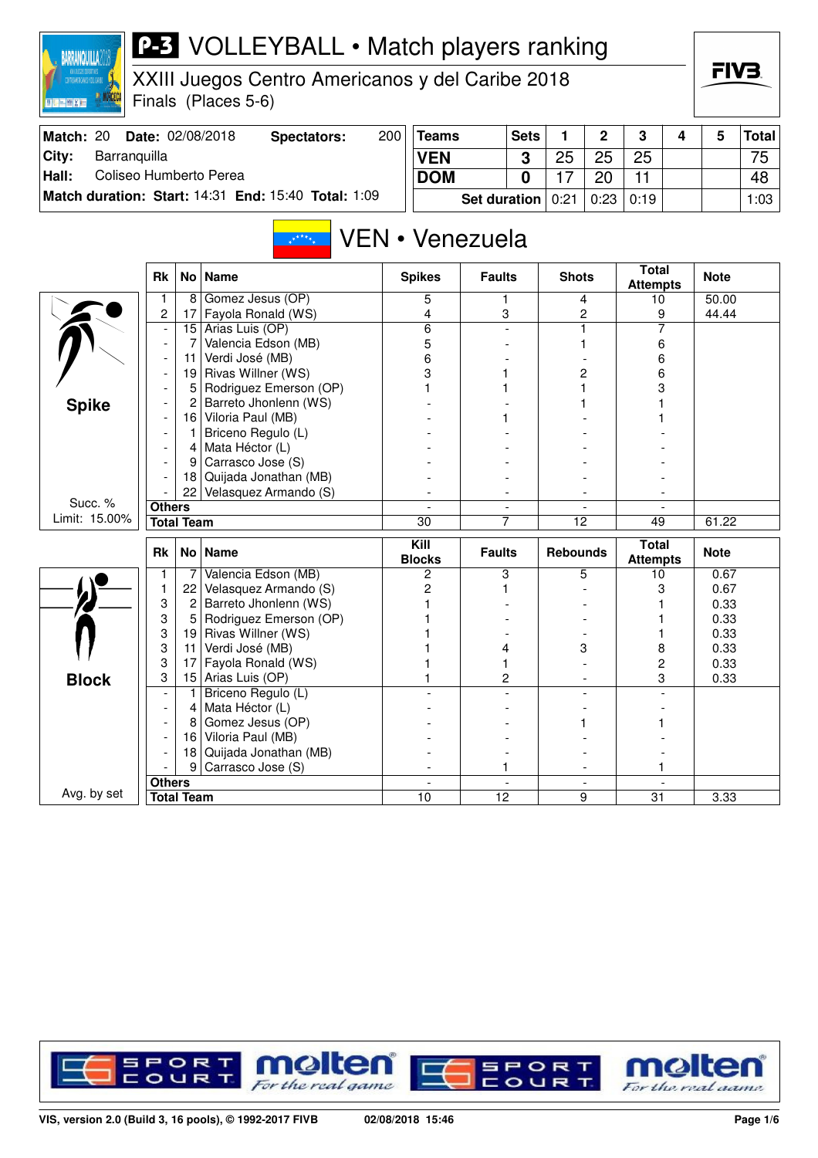| <b>MANORCECA</b><br>国語開催所聞 |                          |                     | Finals (Places 5-6)                                 |     |                       |                     |                          |                 |             |                                 |   |              |              |
|----------------------------|--------------------------|---------------------|-----------------------------------------------------|-----|-----------------------|---------------------|--------------------------|-----------------|-------------|---------------------------------|---|--------------|--------------|
| Match: 20                  |                          |                     | Date: 02/08/2018<br><b>Spectators:</b>              | 200 | <b>Teams</b>          |                     | <b>Sets</b>              | 1               | $\mathbf 2$ | 3                               | 4 | 5            | <b>Total</b> |
| City:<br>Barranquilla      |                          |                     |                                                     |     | <b>VEN</b>            |                     | 3                        | 25              | 25          | 25                              |   |              | 75           |
| Hall:                      |                          |                     | Coliseo Humberto Perea                              |     | <b>DOM</b>            |                     | 0                        | 17              | 20          | 11                              |   |              | 48           |
|                            |                          |                     | Match duration: Start: 14:31 End: 15:40 Total: 1:09 |     |                       | <b>Set duration</b> |                          | 0:21            | 0:23        | 0:19                            |   |              | 1:03         |
|                            |                          |                     | $x^*$ ****                                          |     | VEN • Venezuela       |                     |                          |                 |             |                                 |   |              |              |
|                            | <b>Rk</b>                |                     | No Name                                             |     | <b>Spikes</b>         | <b>Faults</b>       |                          | <b>Shots</b>    |             | <b>Total</b><br><b>Attempts</b> |   | <b>Note</b>  |              |
|                            | 1                        |                     | 8 Gomez Jesus (OP)                                  |     | 5                     | 1.                  |                          |                 | 4           | 10                              |   | 50.00        |              |
|                            | 2                        | 17                  | Fayola Ronald (WS)                                  |     | 4                     | 3                   |                          |                 | 2           | 9                               |   | 44.44        |              |
|                            | $\overline{\phantom{a}}$ | 15<br>7             | Arias Luis (OP)<br>Valencia Edson (MB)              |     | 6<br>5                |                     |                          |                 | 1<br>1      | 7<br>6                          |   |              |              |
|                            | $\overline{\phantom{a}}$ | 11                  | Verdi José (MB)                                     |     | 6                     |                     |                          |                 |             | 6                               |   |              |              |
|                            |                          |                     | 19 Rivas Willner (WS)                               |     | 3                     |                     |                          |                 | 2           | 6                               |   |              |              |
|                            | $\overline{\phantom{a}}$ | 5                   | Rodriguez Emerson (OP)                              |     |                       |                     |                          |                 |             | 3                               |   |              |              |
| <b>Spike</b>               |                          | 2                   | Barreto Jhonlenn (WS)                               |     |                       |                     |                          |                 |             |                                 |   |              |              |
|                            |                          | 16                  | Viloria Paul (MB)                                   |     |                       |                     |                          |                 |             |                                 |   |              |              |
|                            |                          | 1                   | Briceno Regulo (L)                                  |     |                       |                     |                          |                 |             |                                 |   |              |              |
|                            |                          | 4                   | Mata Héctor (L)                                     |     |                       |                     |                          |                 |             |                                 |   |              |              |
|                            | $\blacksquare$           | 9                   | Carrasco Jose (S)                                   |     |                       |                     |                          |                 |             |                                 |   |              |              |
|                            |                          | 18                  | Quijada Jonathan (MB)                               |     |                       |                     |                          |                 |             |                                 |   |              |              |
| Succ. %                    |                          | 22                  | Velasquez Armando (S)                               |     |                       |                     |                          |                 |             |                                 |   |              |              |
| Limit: 15.00%              | <b>Others</b>            | <b>Total Team</b>   |                                                     |     | 30                    | 7                   | $\overline{\phantom{a}}$ | $\overline{12}$ |             | 49                              |   | 61.22        |              |
|                            |                          |                     |                                                     |     |                       |                     |                          |                 |             |                                 |   |              |              |
|                            | Rk                       |                     | No   Name                                           |     | Kill<br><b>Blocks</b> | <b>Faults</b>       |                          | <b>Rebounds</b> |             | <b>Total</b><br><b>Attempts</b> |   | <b>Note</b>  |              |
|                            | 1                        | 7                   | Valencia Edson (MB)                                 |     | 2                     | 3                   |                          |                 | 5           | 10                              |   | 0.67         |              |
|                            | 1                        | 22                  | Velasquez Armando (S)                               |     | 2                     | 1                   |                          |                 |             | 3                               |   | 0.67         |              |
|                            | 3<br>3                   | $\overline{2}$<br>5 | Barreto Jhonlenn (WS)<br>Rodriguez Emerson (OP)     |     |                       |                     |                          |                 |             |                                 |   | 0.33<br>0.33 |              |
|                            | 3                        | 19                  | Rivas Willner (WS)                                  |     |                       |                     |                          |                 |             |                                 |   | 0.33         |              |
|                            | 3                        | 11                  | Verdi José (MB)                                     |     |                       | 4                   |                          |                 | 3           | 8                               |   | 0.33         |              |
|                            | 3                        | 17                  | Fayola Ronald (WS)                                  |     |                       | 1                   |                          |                 |             | 2                               |   | 0.33         |              |
| <b>Block</b>               | 3                        | 15                  | Arias Luis (OP)                                     |     |                       | 2                   |                          |                 |             | 3                               |   | 0.33         |              |
|                            |                          | 1                   | Briceno Regulo (L)                                  |     |                       |                     |                          |                 |             |                                 |   |              |              |
|                            |                          | 4                   | Mata Héctor (L)                                     |     |                       |                     |                          |                 |             |                                 |   |              |              |
|                            |                          | 8                   | Gomez Jesus (OP)                                    |     |                       |                     |                          |                 |             |                                 |   |              |              |
|                            |                          |                     | 16 Viloria Paul (MB)                                |     |                       |                     |                          |                 |             |                                 |   |              |              |
|                            |                          | 18                  | Quijada Jonathan (MB)                               |     |                       |                     |                          |                 |             |                                 |   |              |              |
|                            |                          | 9                   | Carrasco Jose (S)                                   |     |                       | 1                   |                          |                 |             | 1                               |   |              |              |
| Avg. by set                | <b>Others</b>            | <b>Total Team</b>   |                                                     |     | 10                    | 12                  |                          |                 | 9           | 31                              |   | 3.33         |              |
|                            |                          |                     |                                                     |     |                       |                     |                          |                 |             |                                 |   |              |              |



For the real game

For the real aame

### **P-3** VOLLEYBALL • Match players ranking

XXIII Juegos Centro Americanos y del Caribe 2018

BARRANQUILLA2018

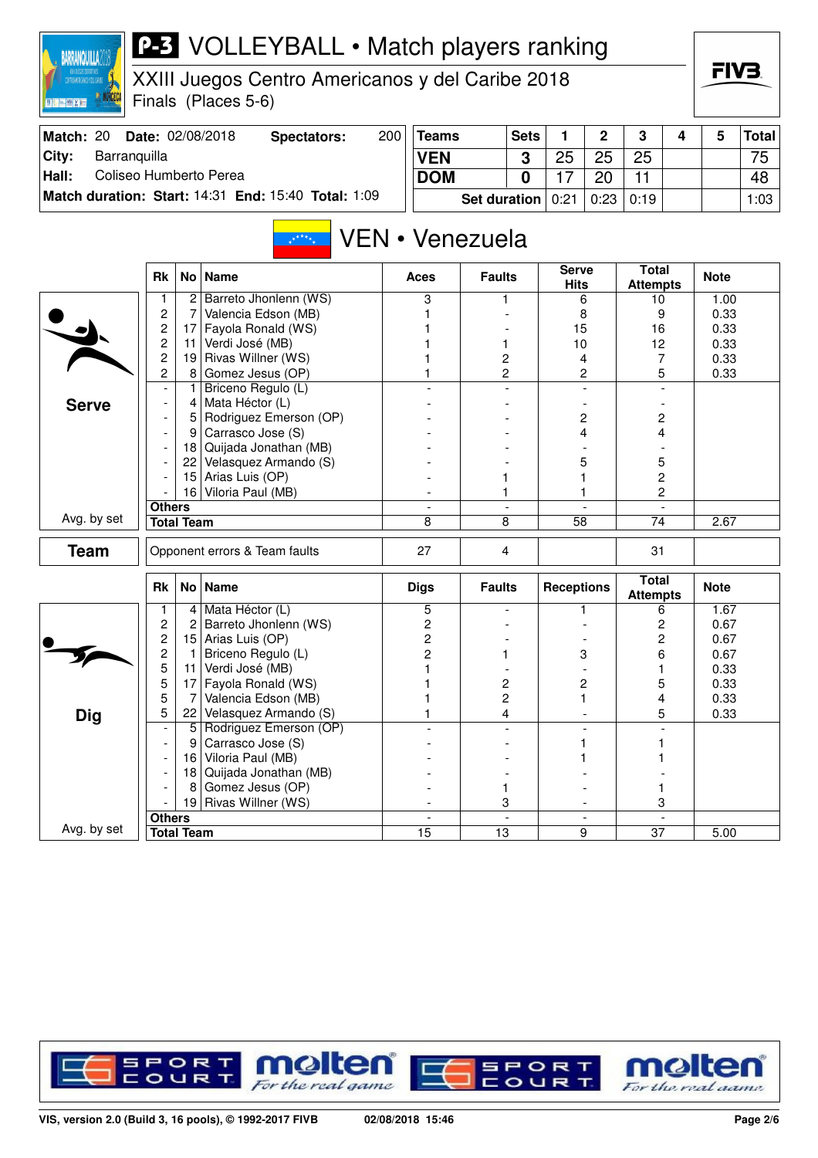| CONTIQUADDANCE TEL CARRE<br>国际产品区域 |                       |                   | XXIII Juegos Centro Americanos y del Caribe 2018<br>Finals (Places 5-6) |     |                 |                     |                |                      |                |                                  |                          | FIV3.        |              |
|------------------------------------|-----------------------|-------------------|-------------------------------------------------------------------------|-----|-----------------|---------------------|----------------|----------------------|----------------|----------------------------------|--------------------------|--------------|--------------|
| Match: 20                          |                       |                   | Date: 02/08/2018<br><b>Spectators:</b>                                  | 200 | <b>Teams</b>    |                     | <b>Sets</b>    | 1.                   | $\overline{2}$ | 3                                | 4                        | 5            | <b>Total</b> |
| City:<br>Barranquilla              |                       |                   |                                                                         |     | <b>VEN</b>      |                     | 3              | 25                   | 25             | 25                               |                          |              | 75           |
| Coliseo Humberto Perea<br>Hall:    |                       |                   |                                                                         |     | <b>DOM</b>      |                     | 0              | 17                   | 20             | 11                               |                          |              | 48           |
|                                    |                       |                   | Match duration: Start: 14:31 End: 15:40 Total: 1:09                     |     |                 |                     |                |                      |                |                                  |                          |              |              |
|                                    |                       |                   |                                                                         |     |                 | <b>Set duration</b> |                | 0:21                 | 0:23           | 0:19                             |                          |              | 1:03         |
|                                    |                       |                   | $x^{\star\star\star\star}$                                              |     | VEN • Venezuela |                     |                |                      |                |                                  |                          |              |              |
|                                    | <b>Rk</b>             |                   | No Name                                                                 |     | Aces            | <b>Faults</b>       |                | Serve<br><b>Hits</b> |                | <b>Total</b><br><b>Attempts</b>  |                          | <b>Note</b>  |              |
|                                    |                       | $\mathbf{2}$      | Barreto Jhonlenn (WS)                                                   |     | 3               | 1                   |                |                      | 6              | 10                               |                          | 1.00         |              |
|                                    | 2<br>$\overline{c}$   | 7<br>17           | Valencia Edson (MB)<br>Fayola Ronald (WS)                               |     |                 |                     |                | 15                   | 8              | 9                                |                          | 0.33         |              |
|                                    | $\overline{c}$        | 11                | Verdi José (MB)                                                         |     |                 | 1                   |                | 10                   |                | 16<br>12                         |                          | 0.33<br>0.33 |              |
|                                    | $\overline{c}$        | 19                | Rivas Willner (WS)                                                      |     |                 | 2                   |                |                      | 4              | 7                                |                          | 0.33         |              |
|                                    | 2                     | 8                 | Gomez Jesus (OP)                                                        |     |                 | 2                   |                |                      | 2              | 5                                |                          | 0.33         |              |
|                                    |                       | 1                 | Briceno Regulo (L)                                                      |     |                 |                     |                |                      |                |                                  |                          |              |              |
| <b>Serve</b>                       |                       | 4                 | Mata Héctor (L)                                                         |     |                 |                     |                |                      |                |                                  |                          |              |              |
|                                    |                       | 5                 | Rodriguez Emerson (OP)                                                  |     |                 |                     |                |                      | 2              | 2                                |                          |              |              |
|                                    |                       | 9                 | Carrasco Jose (S)                                                       |     |                 |                     |                |                      | 4              | 4                                |                          |              |              |
|                                    |                       | 18                | Quijada Jonathan (MB)                                                   |     |                 |                     |                |                      |                |                                  |                          |              |              |
|                                    |                       |                   | 22 Velasquez Armando (S)                                                |     |                 |                     |                |                      | 5              | 5                                |                          |              |              |
|                                    |                       | 15                | Arias Luis (OP)<br>16 Viloria Paul (MB)                                 |     |                 | 1<br>1              |                |                      |                | $\overline{c}$<br>$\overline{c}$ |                          |              |              |
|                                    | <b>Others</b>         |                   |                                                                         |     | $\blacksquare$  |                     | $\blacksquare$ |                      | $\blacksquare$ |                                  | $\overline{\phantom{a}}$ |              |              |
| Avg. by set                        |                       | <b>Total Team</b> |                                                                         |     | 8               | 8                   |                | 58                   |                | 74                               |                          | 2.67         |              |
|                                    |                       |                   |                                                                         |     |                 |                     |                |                      |                |                                  |                          |              |              |
| <b>Team</b>                        |                       |                   | Opponent errors & Team faults                                           |     | 27              | 4                   |                |                      |                | 31                               |                          |              |              |
|                                    | <b>Rk</b>             |                   | No   Name                                                               |     | <b>Digs</b>     | <b>Faults</b>       |                | <b>Receptions</b>    |                | <b>Total</b><br><b>Attempts</b>  |                          | <b>Note</b>  |              |
|                                    |                       |                   | 4 Mata Héctor (L)                                                       |     | 5               |                     |                |                      |                | 6                                |                          | 1.67         |              |
|                                    | 2                     | $\overline{2}$    | Barreto Jhonlenn (WS)                                                   |     | 2               |                     |                |                      |                | 2                                |                          | 0.67         |              |
|                                    | 2<br>$\overline{c}$   | 1                 | 15 Arias Luis (OP)<br>Briceno Regulo (L)                                |     | 2<br>2          | 1                   |                |                      | 3              | 2<br>6                           |                          | 0.67<br>0.67 |              |
|                                    | 5                     | 11                | Verdi José (MB)                                                         |     | 1               |                     |                |                      |                | 1                                |                          | 0.33         |              |
|                                    | 5                     | 17                | Fayola Ronald (WS)                                                      |     |                 | 2                   |                |                      | $\overline{c}$ | 5                                |                          | 0.33         |              |
|                                    | 5                     | 7                 | Valencia Edson (MB)                                                     |     |                 | 2                   |                |                      | 1              | 4                                |                          | 0.33         |              |
| <b>Dig</b>                         | 5                     |                   | 22 Velasquez Armando (S)                                                |     |                 | 4                   |                |                      |                |                                  | 5                        | 0.33         |              |
|                                    |                       | 5                 | Rodriguez Emerson (OP)                                                  |     |                 |                     |                |                      |                |                                  |                          |              |              |
|                                    |                       | 9                 | Carrasco Jose (S)                                                       |     |                 |                     |                |                      |                | 1                                |                          |              |              |
|                                    |                       |                   | 16 Viloria Paul (MB)                                                    |     |                 |                     |                |                      |                |                                  |                          |              |              |
|                                    |                       |                   | 18 Quijada Jonathan (MB)                                                |     |                 |                     |                |                      |                |                                  |                          |              |              |
|                                    | Gomez Jesus (OP)<br>8 |                   |                                                                         |     |                 | 1                   |                |                      |                | 1                                |                          |              |              |
|                                    | <b>Others</b>         | 19                | Rivas Willner (WS)                                                      |     |                 | 3                   |                |                      |                | 3                                |                          |              |              |
| Avg. by set                        |                       | <b>Total Team</b> |                                                                         |     | $\overline{15}$ | $\overline{13}$     |                |                      | $\overline{9}$ | $\overline{37}$                  |                          | 5.00         |              |

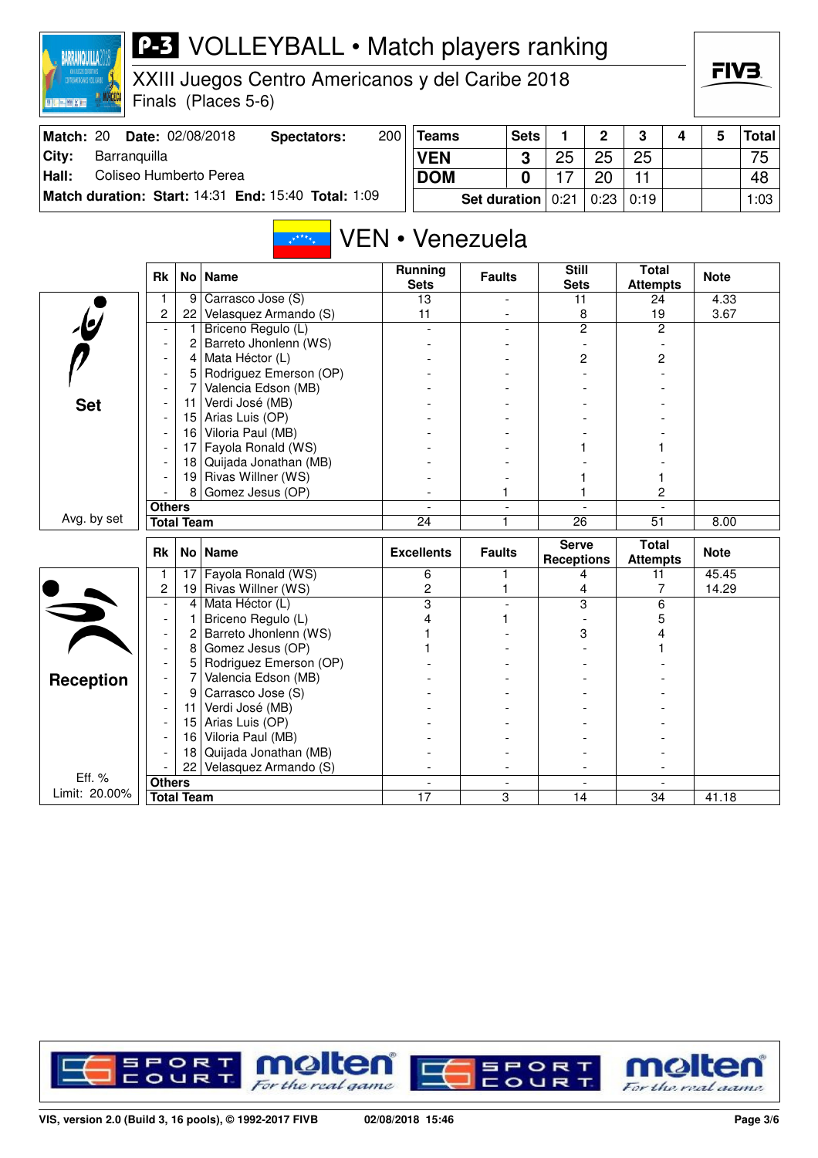

XXIII Juegos Centro Americanos y del Caribe 2018 Finals (Places 5-6)

| Match: 20 | <b>Date: 02/08/2018</b>                             | Spectators: | 200 | <b>Teams</b>                        | <b>Sets</b> |    |    | 3    | 4 | <b>Total</b> |
|-----------|-----------------------------------------------------|-------------|-----|-------------------------------------|-------------|----|----|------|---|--------------|
| City:     | Barranguilla                                        |             |     | <b>VEN</b>                          | $\bullet$   | 25 | 25 | 25   |   | 75           |
| Hall:     | Coliseo Humberto Perea                              |             |     | <b>DOM</b>                          | $\Omega$    |    | 20 |      |   | 48           |
|           | Match duration: Start: 14:31 End: 15:40 Total: 1:09 |             |     | <b>Set duration</b> $ 0:21   0:23 $ |             |    |    | 0:19 |   | 1:03         |

## VEN • Venezuela

|                         | <b>Rk</b>                                                                                                                                                                                                                                                                                                                                                                                                                                                                                                                                                                                                                                                                                                                                                                                                                                                                                                                                                                                                                                                                        |                   | <b>Name</b>           | <b>Running</b><br><b>Sets</b> | <b>Faults</b>            | <b>Still</b><br><b>Sets</b>       | <b>Total</b><br><b>Attempts</b> | <b>Note</b> |
|-------------------------|----------------------------------------------------------------------------------------------------------------------------------------------------------------------------------------------------------------------------------------------------------------------------------------------------------------------------------------------------------------------------------------------------------------------------------------------------------------------------------------------------------------------------------------------------------------------------------------------------------------------------------------------------------------------------------------------------------------------------------------------------------------------------------------------------------------------------------------------------------------------------------------------------------------------------------------------------------------------------------------------------------------------------------------------------------------------------------|-------------------|-----------------------|-------------------------------|--------------------------|-----------------------------------|---------------------------------|-------------|
|                         | 1                                                                                                                                                                                                                                                                                                                                                                                                                                                                                                                                                                                                                                                                                                                                                                                                                                                                                                                                                                                                                                                                                | 9                 | Carrasco Jose (S)     | 13                            |                          | 11                                | 24                              | 4.33        |
|                         | No <sub>1</sub><br>2<br>Velasquez Armando (S)<br>22<br>$\overline{\mathbf{e}}$<br>Briceno Regulo (L)<br>Barreto Jhonlenn (WS)<br>2<br>$\overline{\phantom{a}}$<br>Mata Héctor (L)<br>4<br>Rodriguez Emerson (OP)<br>5<br>$\blacksquare$<br>7<br>Valencia Edson (MB)<br>$\overline{\phantom{a}}$<br>Verdi José (MB)<br>11<br>$\overline{\phantom{a}}$<br>Arias Luis (OP)<br>15<br>Viloria Paul (MB)<br>16<br>Fayola Ronald (WS)<br>17<br>Quijada Jonathan (MB)<br>18<br>Rivas Willner (WS)<br>19<br>8<br>Gomez Jesus (OP)<br><b>Others</b><br><b>Total Team</b><br><b>Rk</b><br>No   Name<br>Fayola Ronald (WS)<br>17<br>1<br>2<br>Rivas Willner (WS)<br>19<br>Mata Héctor (L)<br>4<br>Briceno Regulo (L)<br>1<br>$\overline{\phantom{a}}$<br>Barreto Jhonlenn (WS)<br>2<br>$\blacksquare$<br>Gomez Jesus (OP)<br>8<br>$\overline{\phantom{a}}$<br>Rodriguez Emerson (OP)<br>5<br>$\blacksquare$<br>Valencia Edson (MB)<br>7<br>$\blacksquare$<br>Carrasco Jose (S)<br>9<br>Verdi José (MB)<br>11<br>$\overline{\phantom{a}}$<br>Arias Luis (OP)<br>15<br>Viloria Paul (MB)<br>16 |                   | 11                    |                               | 8                        | 19                                | 3.67                            |             |
|                         |                                                                                                                                                                                                                                                                                                                                                                                                                                                                                                                                                                                                                                                                                                                                                                                                                                                                                                                                                                                                                                                                                  |                   |                       |                               | $\overline{2}$           | $\overline{2}$                    |                                 |             |
|                         |                                                                                                                                                                                                                                                                                                                                                                                                                                                                                                                                                                                                                                                                                                                                                                                                                                                                                                                                                                                                                                                                                  |                   |                       |                               |                          |                                   |                                 |             |
|                         | <b>Set</b><br>Avg. by set<br>5                                                                                                                                                                                                                                                                                                                                                                                                                                                                                                                                                                                                                                                                                                                                                                                                                                                                                                                                                                                                                                                   |                   |                       |                               | 2                        | $\overline{c}$                    |                                 |             |
|                         |                                                                                                                                                                                                                                                                                                                                                                                                                                                                                                                                                                                                                                                                                                                                                                                                                                                                                                                                                                                                                                                                                  |                   |                       |                               |                          |                                   |                                 |             |
|                         |                                                                                                                                                                                                                                                                                                                                                                                                                                                                                                                                                                                                                                                                                                                                                                                                                                                                                                                                                                                                                                                                                  |                   |                       |                               |                          |                                   |                                 |             |
|                         |                                                                                                                                                                                                                                                                                                                                                                                                                                                                                                                                                                                                                                                                                                                                                                                                                                                                                                                                                                                                                                                                                  |                   |                       |                               |                          |                                   |                                 |             |
|                         |                                                                                                                                                                                                                                                                                                                                                                                                                                                                                                                                                                                                                                                                                                                                                                                                                                                                                                                                                                                                                                                                                  |                   |                       |                               |                          |                                   |                                 |             |
|                         |                                                                                                                                                                                                                                                                                                                                                                                                                                                                                                                                                                                                                                                                                                                                                                                                                                                                                                                                                                                                                                                                                  |                   |                       |                               |                          |                                   |                                 |             |
|                         |                                                                                                                                                                                                                                                                                                                                                                                                                                                                                                                                                                                                                                                                                                                                                                                                                                                                                                                                                                                                                                                                                  |                   |                       |                               |                          |                                   |                                 |             |
|                         |                                                                                                                                                                                                                                                                                                                                                                                                                                                                                                                                                                                                                                                                                                                                                                                                                                                                                                                                                                                                                                                                                  |                   |                       |                               |                          |                                   |                                 |             |
|                         |                                                                                                                                                                                                                                                                                                                                                                                                                                                                                                                                                                                                                                                                                                                                                                                                                                                                                                                                                                                                                                                                                  |                   |                       |                               |                          |                                   |                                 |             |
|                         |                                                                                                                                                                                                                                                                                                                                                                                                                                                                                                                                                                                                                                                                                                                                                                                                                                                                                                                                                                                                                                                                                  |                   |                       |                               |                          |                                   | 2                               |             |
|                         |                                                                                                                                                                                                                                                                                                                                                                                                                                                                                                                                                                                                                                                                                                                                                                                                                                                                                                                                                                                                                                                                                  |                   |                       | $\overline{a}$                | $\overline{\phantom{a}}$ |                                   |                                 |             |
|                         |                                                                                                                                                                                                                                                                                                                                                                                                                                                                                                                                                                                                                                                                                                                                                                                                                                                                                                                                                                                                                                                                                  |                   |                       | 24                            | 1                        | 26                                | 51                              | 8.00        |
|                         |                                                                                                                                                                                                                                                                                                                                                                                                                                                                                                                                                                                                                                                                                                                                                                                                                                                                                                                                                                                                                                                                                  |                   |                       |                               |                          |                                   |                                 |             |
|                         |                                                                                                                                                                                                                                                                                                                                                                                                                                                                                                                                                                                                                                                                                                                                                                                                                                                                                                                                                                                                                                                                                  |                   |                       | <b>Excellents</b>             | <b>Faults</b>            | <b>Serve</b><br><b>Receptions</b> | <b>Total</b><br><b>Attempts</b> | <b>Note</b> |
|                         |                                                                                                                                                                                                                                                                                                                                                                                                                                                                                                                                                                                                                                                                                                                                                                                                                                                                                                                                                                                                                                                                                  |                   |                       | 6                             | 1                        | 4                                 | 11                              | 45.45       |
|                         |                                                                                                                                                                                                                                                                                                                                                                                                                                                                                                                                                                                                                                                                                                                                                                                                                                                                                                                                                                                                                                                                                  |                   |                       | $\overline{c}$                | 1                        | 4                                 | 7                               | 14.29       |
|                         |                                                                                                                                                                                                                                                                                                                                                                                                                                                                                                                                                                                                                                                                                                                                                                                                                                                                                                                                                                                                                                                                                  |                   |                       | $\overline{\mathbf{3}}$       |                          | $\overline{\mathbf{3}}$           | 6                               |             |
|                         |                                                                                                                                                                                                                                                                                                                                                                                                                                                                                                                                                                                                                                                                                                                                                                                                                                                                                                                                                                                                                                                                                  |                   |                       | 4                             |                          |                                   | 5                               |             |
|                         |                                                                                                                                                                                                                                                                                                                                                                                                                                                                                                                                                                                                                                                                                                                                                                                                                                                                                                                                                                                                                                                                                  |                   |                       |                               |                          | 3                                 |                                 |             |
|                         |                                                                                                                                                                                                                                                                                                                                                                                                                                                                                                                                                                                                                                                                                                                                                                                                                                                                                                                                                                                                                                                                                  |                   |                       |                               |                          |                                   |                                 |             |
|                         |                                                                                                                                                                                                                                                                                                                                                                                                                                                                                                                                                                                                                                                                                                                                                                                                                                                                                                                                                                                                                                                                                  |                   |                       |                               |                          |                                   |                                 |             |
|                         |                                                                                                                                                                                                                                                                                                                                                                                                                                                                                                                                                                                                                                                                                                                                                                                                                                                                                                                                                                                                                                                                                  |                   |                       |                               |                          |                                   |                                 |             |
| <b>Reception</b>        |                                                                                                                                                                                                                                                                                                                                                                                                                                                                                                                                                                                                                                                                                                                                                                                                                                                                                                                                                                                                                                                                                  |                   |                       |                               |                          |                                   |                                 |             |
|                         |                                                                                                                                                                                                                                                                                                                                                                                                                                                                                                                                                                                                                                                                                                                                                                                                                                                                                                                                                                                                                                                                                  |                   |                       |                               |                          |                                   |                                 |             |
|                         |                                                                                                                                                                                                                                                                                                                                                                                                                                                                                                                                                                                                                                                                                                                                                                                                                                                                                                                                                                                                                                                                                  |                   |                       |                               |                          |                                   |                                 |             |
|                         |                                                                                                                                                                                                                                                                                                                                                                                                                                                                                                                                                                                                                                                                                                                                                                                                                                                                                                                                                                                                                                                                                  |                   |                       |                               |                          |                                   |                                 |             |
|                         |                                                                                                                                                                                                                                                                                                                                                                                                                                                                                                                                                                                                                                                                                                                                                                                                                                                                                                                                                                                                                                                                                  | 18                | Quijada Jonathan (MB) |                               |                          |                                   |                                 |             |
|                         |                                                                                                                                                                                                                                                                                                                                                                                                                                                                                                                                                                                                                                                                                                                                                                                                                                                                                                                                                                                                                                                                                  | 22                | Velasquez Armando (S) |                               |                          |                                   |                                 |             |
| Eff. %<br>Limit: 20.00% | <b>Others</b>                                                                                                                                                                                                                                                                                                                                                                                                                                                                                                                                                                                                                                                                                                                                                                                                                                                                                                                                                                                                                                                                    | <b>Total Team</b> |                       | $\overline{a}$<br>17          | $\overline{a}$<br>3      | $\overline{a}$<br>14              | $\overline{a}$<br>34            | 41.18       |

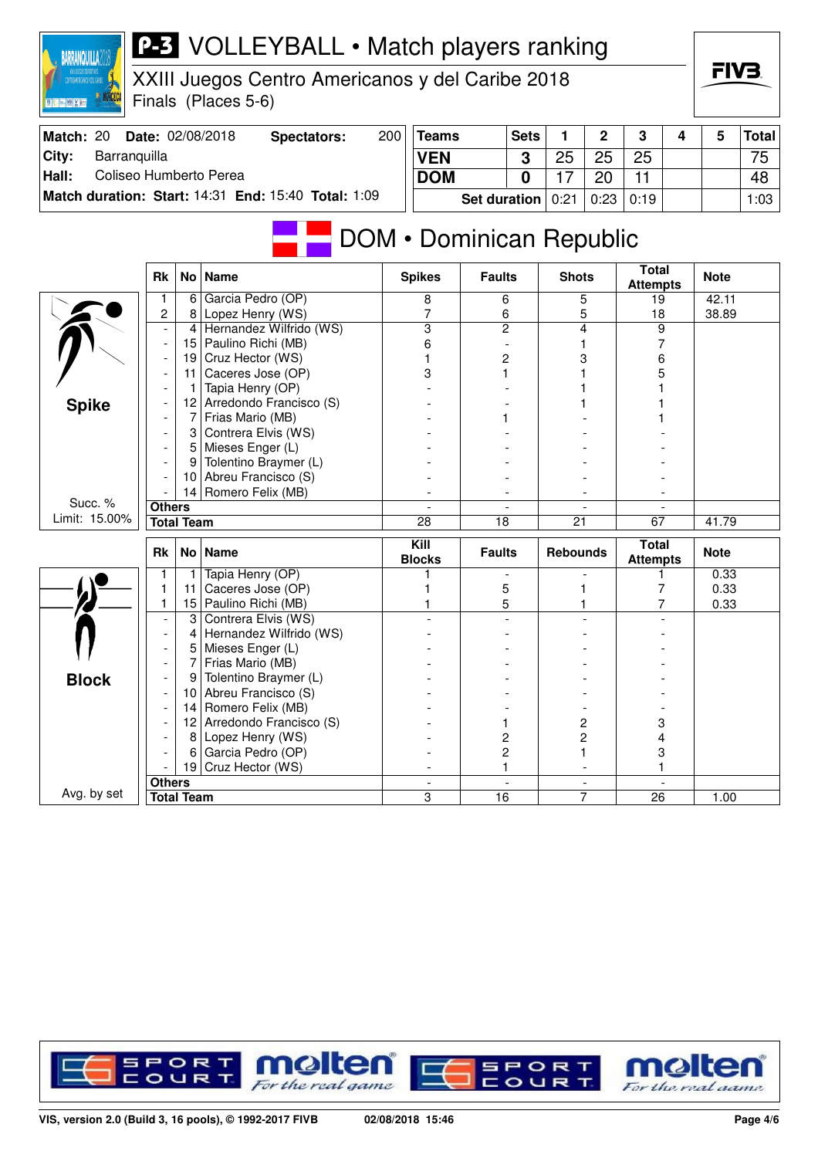| Match: 20                       |                                  |                   | <b>Date: 02/08/2018</b><br><b>Spectators:</b>       | 200 | Teams           |                          | <b>Sets</b> | 1               | 2                        | 3                               | 4    | 5           | <b>Total</b> |
|---------------------------------|----------------------------------|-------------------|-----------------------------------------------------|-----|-----------------|--------------------------|-------------|-----------------|--------------------------|---------------------------------|------|-------------|--------------|
| City:<br>Barranquilla           |                                  |                   |                                                     |     | <b>VEN</b>      |                          | 3           | 25              | 25                       | 25                              |      |             | 75           |
| Hall:<br>Coliseo Humberto Perea |                                  |                   |                                                     |     | <b>DOM</b>      |                          | $\mathbf 0$ | 17              | 20                       | $\overline{11}$                 |      |             | 48           |
|                                 |                                  |                   | Match duration: Start: 14:31 End: 15:40 Total: 1:09 |     |                 | <b>Set duration</b>      |             | 0:21            | 0:23                     | 0:19                            |      |             | 1:03         |
|                                 |                                  |                   |                                                     |     |                 |                          |             |                 |                          |                                 |      |             |              |
|                                 |                                  |                   | DOM • Dominican Republic                            |     |                 |                          |             |                 |                          |                                 |      |             |              |
|                                 |                                  |                   |                                                     |     |                 |                          |             |                 |                          |                                 |      |             |              |
|                                 | <b>Rk</b>                        |                   | No Name                                             |     | <b>Spikes</b>   | <b>Faults</b>            |             | <b>Shots</b>    |                          | <b>Total</b><br><b>Attempts</b> |      | <b>Note</b> |              |
|                                 | $\mathbf{1}$                     | 6                 | Garcia Pedro (OP)                                   |     | 8               | 6                        |             | 5               |                          | 19                              |      | 42.11       |              |
|                                 | $\overline{c}$                   | 8                 | Lopez Henry (WS)                                    |     | 7               | 6                        |             | 5               |                          | 18                              |      | 38.89       |              |
|                                 |                                  | 4                 | Hernandez Wilfrido (WS)                             |     | $\overline{3}$  | $\overline{c}$           |             | 4               |                          | 9                               |      |             |              |
|                                 | $\blacksquare$                   | 15                | Paulino Richi (MB)                                  |     | 6               | $\overline{\phantom{a}}$ |             | 1               |                          | 7                               |      |             |              |
|                                 |                                  | 19                | Cruz Hector (WS)                                    |     | 1               | 2                        |             | 3               |                          | 6                               |      |             |              |
|                                 |                                  | 11                | Caceres Jose (OP)                                   |     | 3               | 1                        |             |                 |                          | 5                               |      |             |              |
|                                 |                                  | 1                 | Tapia Henry (OP)                                    |     |                 |                          |             |                 |                          |                                 |      |             |              |
| <b>Spike</b>                    |                                  | 12                | Arredondo Francisco (S)                             |     |                 |                          |             |                 |                          |                                 |      |             |              |
|                                 |                                  | 7                 | Frias Mario (MB)                                    |     |                 |                          |             |                 |                          |                                 |      |             |              |
|                                 |                                  | 3                 | Contrera Elvis (WS)                                 |     |                 |                          |             |                 |                          |                                 |      |             |              |
|                                 |                                  | 5                 | Mieses Enger (L)                                    |     |                 |                          |             |                 |                          |                                 |      |             |              |
|                                 |                                  | 9                 | Tolentino Braymer (L)                               |     |                 |                          |             |                 |                          |                                 |      |             |              |
|                                 |                                  | 10                | Abreu Francisco (S)                                 |     |                 |                          |             |                 |                          |                                 |      |             |              |
|                                 |                                  |                   | 14 Romero Felix (MB)                                |     |                 |                          |             |                 |                          |                                 |      |             |              |
| Succ. %                         | <b>Others</b>                    |                   |                                                     |     | $\overline{a}$  | $\overline{\phantom{a}}$ |             |                 | $\overline{a}$           |                                 |      |             |              |
| Limit: 15.00%                   |                                  | <b>Total Team</b> |                                                     |     | $\overline{28}$ | $\overline{18}$          |             | $\overline{21}$ |                          | 67                              |      | 41.79       |              |
|                                 |                                  |                   |                                                     |     | Kill            |                          |             |                 |                          | <b>Total</b>                    |      |             |              |
|                                 | <b>Rk</b>                        | No <sub>1</sub>   | <b>Name</b>                                         |     | <b>Blocks</b>   | <b>Faults</b>            |             | <b>Rebounds</b> |                          | <b>Attempts</b>                 |      | <b>Note</b> |              |
|                                 | $\mathbf{1}$                     | 1                 | Tapia Henry (OP)                                    |     | 1               |                          |             |                 |                          | 1                               |      | 0.33        |              |
|                                 | $\mathbf{1}$                     | 11                | Caceres Jose (OP)                                   |     | 1               | 5                        |             | 1               |                          | $\overline{7}$                  |      | 0.33        |              |
|                                 | 1                                | 15                | Paulino Richi (MB)                                  |     | 1               | 5                        |             |                 |                          | 7                               |      | 0.33        |              |
|                                 | $\overline{a}$                   | $\overline{3}$    | Contrera Elvis (WS)                                 |     |                 |                          |             |                 |                          |                                 |      |             |              |
|                                 | $\overline{\phantom{a}}$         | 4                 | Hernandez Wilfrido (WS)                             |     |                 |                          |             |                 |                          |                                 |      |             |              |
|                                 | ÷,                               | 5                 | Mieses Enger (L)                                    |     |                 |                          |             |                 |                          |                                 |      |             |              |
|                                 |                                  | 7                 | Frias Mario (MB)                                    |     |                 |                          |             |                 |                          |                                 |      |             |              |
| <b>Block</b>                    | ÷,                               | 9                 | Tolentino Braymer (L)                               |     |                 |                          |             |                 |                          |                                 |      |             |              |
|                                 |                                  | 10                | Abreu Francisco (S)                                 |     |                 |                          |             |                 |                          |                                 |      |             |              |
|                                 |                                  | 14                | Romero Felix (MB)                                   |     |                 |                          |             |                 |                          |                                 |      |             |              |
|                                 |                                  | 12                | Arredondo Francisco (S)                             |     |                 | 1                        |             | 2               |                          | 3                               |      |             |              |
|                                 |                                  | 8                 | Lopez Henry (WS)                                    |     |                 | $\overline{c}$           |             | 2               |                          | 4                               |      |             |              |
|                                 |                                  | 6                 | Garcia Pedro (OP)                                   |     |                 | $\overline{c}$           |             | 1               |                          | 3                               |      |             |              |
|                                 |                                  |                   | 19 Cruz Hector (WS)                                 |     |                 | 1                        |             |                 |                          | 1                               |      |             |              |
|                                 | <b>Others</b>                    |                   |                                                     |     |                 | $\Box$                   |             |                 | $\overline{\phantom{a}}$ |                                 |      |             |              |
|                                 | Avg. by set<br><b>Total Team</b> |                   |                                                     | 3   | $\overline{16}$ |                          |             | $\overline{7}$  | 26                       |                                 | 1.00 |             |              |



For the real game

For the real aame



**Teams** Sets 1 2 3 4 5 Total

**BARRANQUILLA** 

#### **P-3** VOLLEYBALL • Match players ranking XXIII Juegos Centro Americanos y del Caribe 2018

Finals (Places 5-6)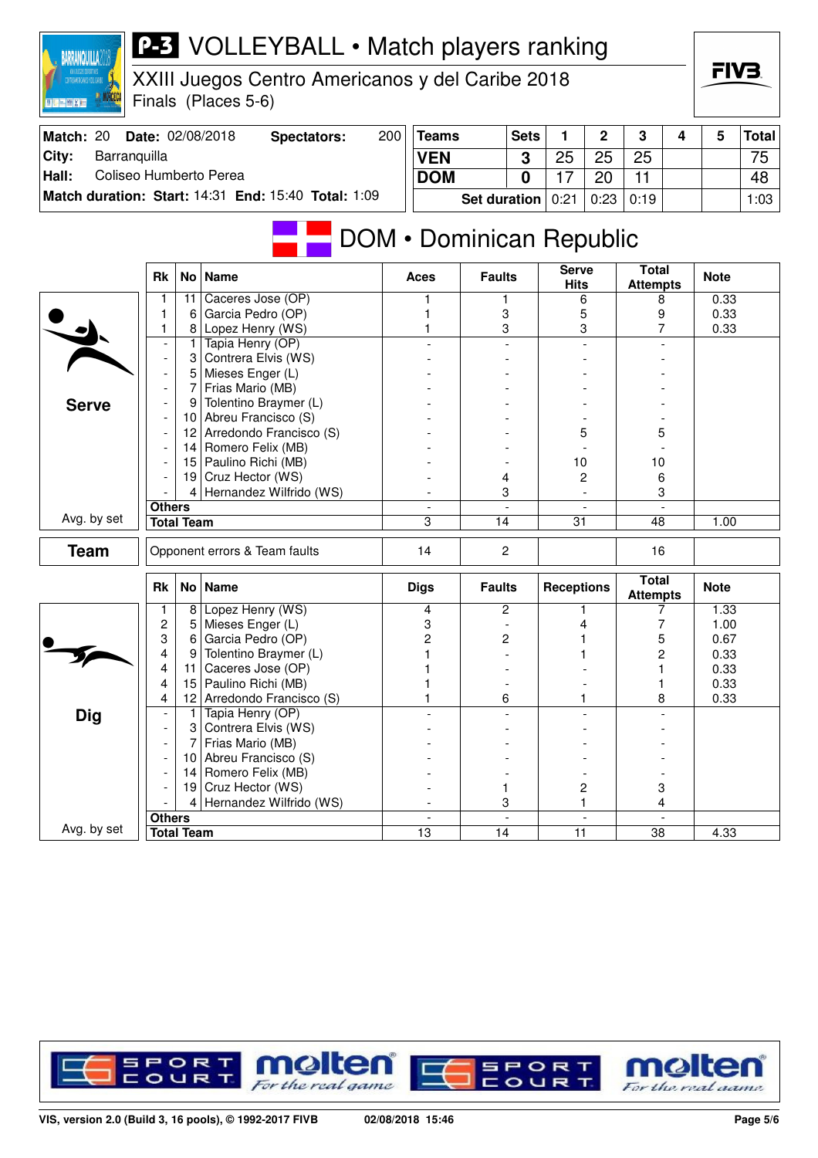| Match: 20                       |                          |                   | Date: 02/08/2018<br><b>Spectators:</b>              | 200 | <b>Teams</b>             |                     | <b>Sets</b>              | 1                           | $\mathbf 2$    | 3                               | 4 | 5           | <b>Total</b> |
|---------------------------------|--------------------------|-------------------|-----------------------------------------------------|-----|--------------------------|---------------------|--------------------------|-----------------------------|----------------|---------------------------------|---|-------------|--------------|
| Barranquilla<br>City:           |                          |                   |                                                     |     | <b>VEN</b>               |                     | 3                        | 25                          | 25             | 25                              |   |             | 75           |
| Coliseo Humberto Perea<br>Hall: |                          |                   |                                                     |     | <b>DOM</b>               |                     | $\mathbf 0$              | 17                          | 20             | 11                              |   |             | 48           |
|                                 |                          |                   | Match duration: Start: 14:31 End: 15:40 Total: 1:09 |     |                          |                     |                          |                             |                |                                 |   |             |              |
|                                 |                          |                   |                                                     |     |                          | <b>Set duration</b> |                          | 0:21                        | 0:23           | 0:19                            |   |             | 1:03         |
|                                 |                          |                   |                                                     |     | DOM • Dominican Republic |                     |                          |                             |                |                                 |   |             |              |
|                                 | <b>Rk</b>                | <b>No</b>         | <b>Name</b>                                         |     | Aces                     | <b>Faults</b>       |                          | <b>Serve</b><br><b>Hits</b> |                | <b>Total</b><br><b>Attempts</b> |   | <b>Note</b> |              |
|                                 | 1                        | 11                | Caceres Jose (OP)                                   |     |                          | 1                   |                          | 6                           |                | 8                               |   | 0.33        |              |
|                                 | 1                        | 6                 | Garcia Pedro (OP)                                   |     |                          | 3                   |                          | 5                           |                | 9                               |   | 0.33        |              |
|                                 | 1                        | 8                 | Lopez Henry (WS)                                    |     |                          | 3                   |                          |                             | 3              | 7                               |   | 0.33        |              |
|                                 | $\overline{\phantom{a}}$ | 1                 | Tapia Henry (OP)                                    |     |                          |                     | $\overline{a}$           |                             | $\overline{a}$ |                                 |   |             |              |
|                                 | $\overline{\phantom{a}}$ | 3<br>5            | Contrera Elvis (WS)                                 |     |                          |                     |                          |                             |                |                                 |   |             |              |
|                                 |                          | 7                 | Mieses Enger (L)<br>Frias Mario (MB)                |     |                          |                     |                          |                             |                |                                 |   |             |              |
| <b>Serve</b>                    |                          | 9                 | Tolentino Braymer (L)                               |     |                          |                     |                          |                             |                |                                 |   |             |              |
|                                 |                          | 10                | Abreu Francisco (S)                                 |     |                          |                     |                          |                             |                |                                 |   |             |              |
|                                 |                          | 12                | Arredondo Francisco (S)                             |     |                          |                     |                          | 5                           |                | 5                               |   |             |              |
|                                 |                          | 14                | Romero Felix (MB)                                   |     |                          |                     |                          |                             |                |                                 |   |             |              |
|                                 |                          | 15                | Paulino Richi (MB)                                  |     |                          |                     |                          | 10                          |                | 10                              |   |             |              |
|                                 |                          | 19                | Cruz Hector (WS)                                    |     |                          | 4                   |                          | 2                           |                | 6                               |   |             |              |
|                                 |                          | 4                 | Hernandez Wilfrido (WS)                             |     |                          | 3                   |                          |                             |                | 3                               |   |             |              |
|                                 | <b>Others</b>            |                   |                                                     |     |                          |                     | $\overline{\phantom{a}}$ |                             |                |                                 |   |             |              |
| Avg. by set                     |                          | <b>Total Team</b> |                                                     |     | 3                        | 14                  |                          | 31                          |                | 48                              |   | 1.00        |              |
| <b>Team</b>                     |                          |                   | Opponent errors & Team faults                       |     | 14                       | $\overline{c}$      |                          |                             |                | 16                              |   |             |              |
|                                 | Rk                       |                   | No   Name                                           |     | <b>Digs</b>              | <b>Faults</b>       |                          | <b>Receptions</b>           |                | <b>Total</b><br><b>Attempts</b> |   | <b>Note</b> |              |
|                                 | 1                        | 8                 | Lopez Henry (WS)                                    |     | 4                        |                     | 2                        |                             |                | 7                               |   | 1.33        |              |
|                                 | $\overline{c}$           | 5                 | Mieses Enger (L)                                    |     | 3                        |                     |                          | 4                           |                | 7                               |   | 1.00        |              |
|                                 | 3                        | 6                 | Garcia Pedro (OP)                                   |     | 2                        |                     | 2                        |                             |                | 5                               |   | 0.67        |              |
|                                 | 4                        | 9                 | Tolentino Braymer (L)                               |     |                          |                     |                          |                             |                | 2                               |   | 0.33        |              |
|                                 | 4                        | 11                | Caceres Jose (OP)<br>Paulino Richi (MB)             |     |                          |                     |                          |                             |                |                                 |   | 0.33        |              |
|                                 | 4<br>4                   | 15<br>12          | Arredondo Francisco (S)                             |     |                          |                     |                          |                             |                |                                 |   | 0.33        |              |
|                                 | $\overline{\phantom{a}}$ | $\mathbf{1}$      | Tapia Henry (OP)                                    |     |                          | 6                   |                          |                             | 1              | 8                               |   | 0.33        |              |
| <b>Dig</b>                      |                          |                   | 3 Contrera Elvis (WS)                               |     |                          |                     |                          |                             |                |                                 |   |             |              |
|                                 |                          | 7                 | Frias Mario (MB)                                    |     |                          |                     |                          |                             |                |                                 |   |             |              |
|                                 |                          |                   | 10 Abreu Francisco (S)                              |     |                          |                     |                          |                             |                |                                 |   |             |              |
|                                 |                          |                   | 14 Romero Felix (MB)                                |     |                          |                     |                          |                             |                |                                 |   |             |              |
|                                 |                          |                   | 19 Cruz Hector (WS)                                 |     |                          | 1                   |                          | 2                           |                | 3                               |   |             |              |
|                                 |                          |                   | 4 Hernandez Wilfrido (WS)                           |     |                          |                     | 3                        |                             | $\mathbf{1}$   | 4                               |   |             |              |
|                                 | <b>Others</b>            |                   |                                                     |     |                          |                     |                          |                             |                |                                 |   |             |              |
| Avg. by set                     |                          | <b>Total Team</b> |                                                     |     | $\overline{13}$          | $\overline{14}$     |                          | $\overline{11}$             |                | $\overline{38}$                 |   | 4.33        |              |

XXIII Juegos Centro Americanos y del Caribe 2018

Finals (Places 5-6)

RARRANOLIII I A

**RCECI** 



FIV<sub>3</sub>